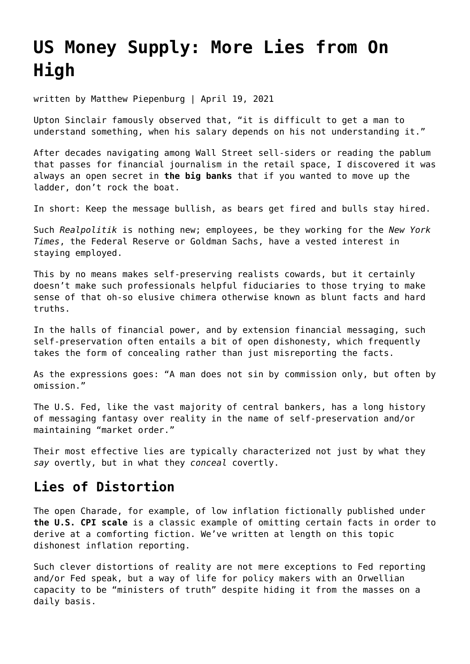# **[US Money Supply: More Lies from On](https://goldswitzerland.com/us-money-supply-more-lies-from-on-high/) [High](https://goldswitzerland.com/us-money-supply-more-lies-from-on-high/)**

written by Matthew Piepenburg | April 19, 2021

Upton Sinclair famously observed that, "it is difficult to get a man to understand something, when his salary depends on his not understanding it."

After decades navigating among Wall Street sell-siders or reading the pablum that passes for financial journalism in the retail space, I discovered it was always an open secret in **[the big banks](https://goldswitzerland.com/banking-risk-the-real-killer-virus/)** that if you wanted to move up the ladder, don't rock the boat.

In short: Keep the message bullish, as bears get fired and bulls stay hired.

Such *Realpolitik* is nothing new; employees, be they working for the *New York Times*, the Federal Reserve or Goldman Sachs, have a vested interest in staying employed.

This by no means makes self-preserving realists cowards, but it certainly doesn't make such professionals helpful fiduciaries to those trying to make sense of that oh-so elusive chimera otherwise known as blunt facts and hard truths.

In the halls of financial power, and by extension financial messaging, such self-preservation often entails a bit of open dishonesty, which frequently takes the form of concealing rather than just misreporting the facts.

As the expressions goes: "A man does not sin by commission only, but often by omission."

The U.S. Fed, like the vast majority of central bankers, has a long history of messaging fantasy over reality in the name of self-preservation and/or maintaining "market order."

Their most effective lies are typically characterized not just by what they *say* overtly, but in what they *conceal* covertly.

#### **Lies of Distortion**

The open Charade, for example, of low inflation fictionally published under **[the U.S. CPI scale](https://goldswitzerland.com/the-feds-most-convenient-lie-a-cpi-charade/)** is a classic example of omitting certain facts in order to derive at a comforting fiction. We've written at length on this topic dishonest inflation reporting.

Such clever distortions of reality are not mere exceptions to Fed reporting and/or Fed speak, but a way of life for policy makers with an Orwellian capacity to be "ministers of truth" despite hiding it from the masses on a daily basis.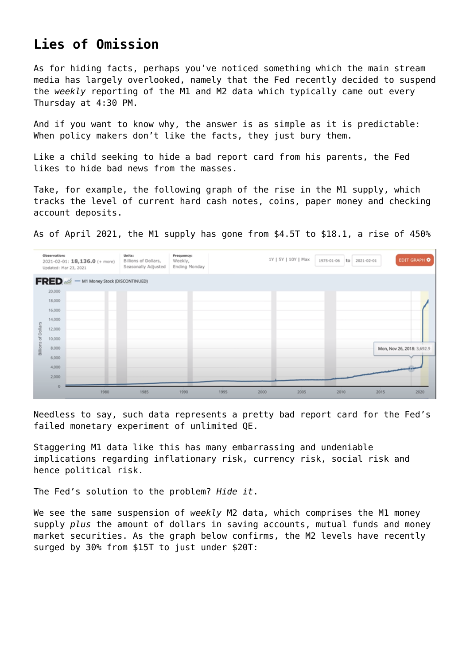### **Lies of Omission**

As for hiding facts, perhaps you've noticed something which the main stream media has largely overlooked, namely that the Fed recently decided to suspend the *weekly* reporting of the M1 and M2 data which typically came out every Thursday at 4:30 PM.

And if you want to know why, the answer is as simple as it is predictable: When policy makers don't like the facts, they just bury them.

Like a child seeking to hide a bad report card from his parents, the Fed likes to hide bad news from the masses.

Take, for example, the following graph of the rise in the M1 supply, which tracks the level of current hard cash notes, coins, paper money and checking account deposits.

As of April 2021, the M1 supply has gone from \$4.5T to \$18.1, a rise of 450%



Needless to say, such data represents a pretty bad report card for the Fed's failed monetary experiment of unlimited QE.

Staggering M1 data like this has many embarrassing and undeniable implications regarding inflationary risk, currency risk, social risk and hence political risk.

The Fed's solution to the problem? *Hide it*.

We see the same suspension of *weekly* M2 data, which comprises the M1 money supply *plus* the amount of dollars in saving accounts, mutual funds and money market securities. As the graph below confirms, the M2 levels have recently surged by 30% from \$15T to just under \$20T: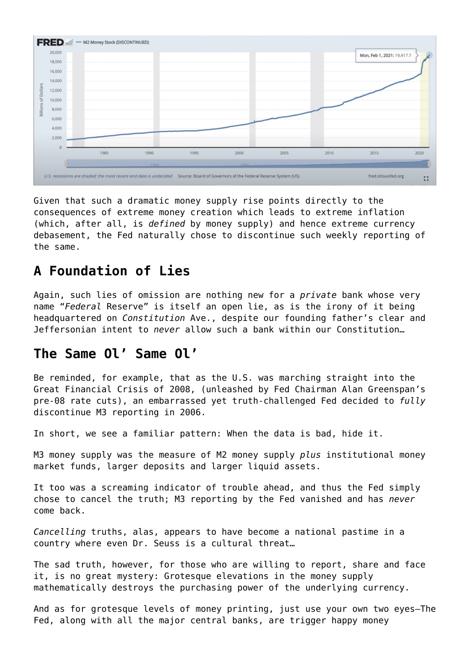

Given that such a dramatic money supply rise points directly to the consequences of extreme money creation which leads to extreme inflation (which, after all, is *defined* by money supply) and hence extreme currency debasement, the Fed naturally chose to discontinue such weekly reporting of the same.

## **A Foundation of Lies**

Again, such lies of omission are nothing new for a *private* bank whose very name "*Federal* Reserve" is itself an open lie, as is the irony of it being headquartered on *Constitution* Ave., despite our founding father's clear and Jeffersonian intent to *never* allow such a bank within our Constitution…

#### **The Same Ol' Same Ol'**

Be reminded, for example, that as the U.S. was marching straight into the Great Financial Crisis of 2008, (unleashed by Fed Chairman Alan Greenspan's pre-08 rate cuts), an embarrassed yet truth-challenged Fed decided to *fully* discontinue M3 reporting in 2006.

In short, we see a familiar pattern: When the data is bad, hide it.

M3 money supply was the measure of M2 money supply *plus* institutional money market funds, larger deposits and larger liquid assets.

It too was a screaming indicator of trouble ahead, and thus the Fed simply chose to cancel the truth; M3 reporting by the Fed vanished and has *never* come back.

*Cancelling* truths, alas, appears to have become a national pastime in a country where even Dr. Seuss is a cultural threat…

The sad truth, however, for those who are willing to report, share and face it, is no great mystery: Grotesque elevations in the money supply mathematically destroys the purchasing power of the underlying currency.

And as for grotesque levels of money printing, just use your own two eyes—The Fed, along with all the major central banks, are trigger happy money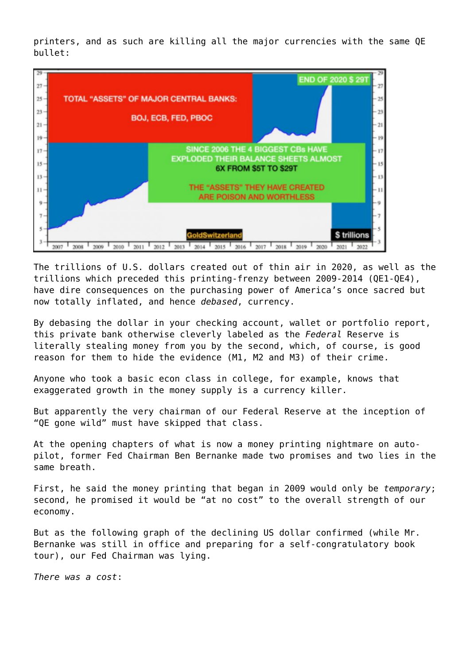printers, and as such are killing all the major currencies with the same QE bullet:



The trillions of U.S. dollars created out of thin air in 2020, as well as the trillions which preceded this printing-frenzy between 2009-2014 (QE1-QE4), have dire consequences on the purchasing power of America's once sacred but now totally inflated, and hence *debased*, currency.

By debasing the dollar in your checking account, wallet or portfolio report, this private bank otherwise cleverly labeled as the *Federal* Reserve is literally stealing money from you by the second, which, of course, is good reason for them to hide the evidence (M1, M2 and M3) of their crime.

Anyone who took a basic econ class in college, for example, knows that exaggerated growth in the money supply is a currency killer.

But apparently the very chairman of our Federal Reserve at the inception of "QE gone wild" must have skipped that class.

At the opening chapters of what is now a money printing nightmare on autopilot, former Fed Chairman Ben Bernanke made two promises and two lies in the same breath.

First, he said the money printing that began in 2009 would only be *temporary*; second, he promised it would be "at no cost" to the overall strength of our economy.

But as the following graph of the declining US dollar confirmed (while Mr. Bernanke was still in office and preparing for a self-congratulatory book tour), our Fed Chairman was lying.

*There was a cost*: